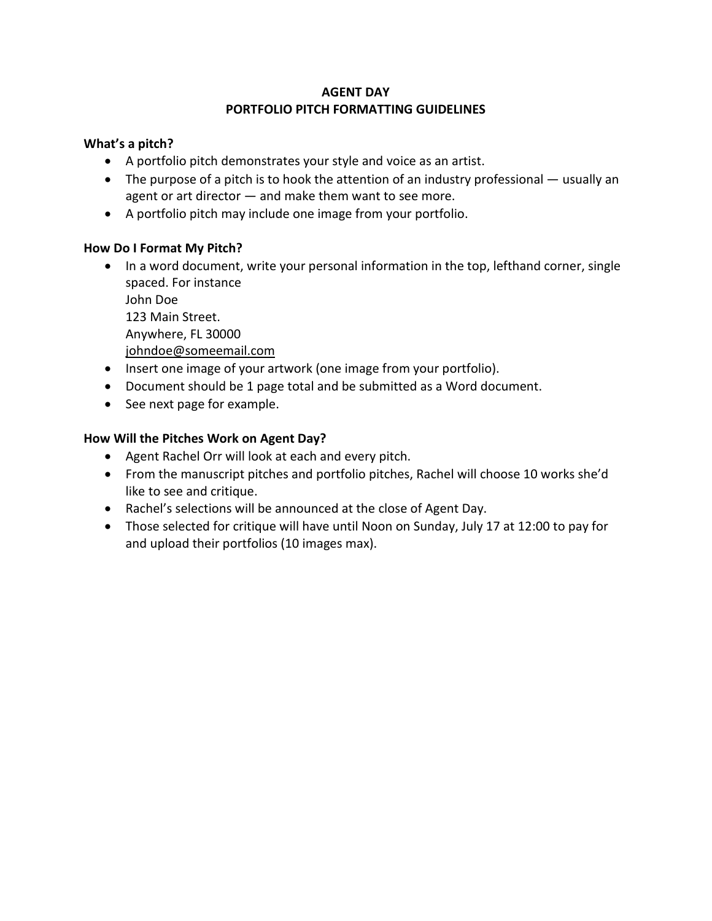## **AGENT DAY PORTFOLIO PITCH FORMATTING GUIDELINES**

## **What's a pitch?**

- A portfolio pitch demonstrates your style and voice as an artist.
- The purpose of a pitch is to hook the attention of an industry professional usually an agent or art director — and make them want to see more.
- A portfolio pitch may include one image from your portfolio.

## **How Do I Format My Pitch?**

- In a word document, write your personal information in the top, lefthand corner, single spaced. For instance John Doe 123 Main Street. Anywhere, FL 30000 [johndoe@someemail.com](mailto:johndoe@someemail.com)
- Insert one image of your artwork (one image from your portfolio).
- Document should be 1 page total and be submitted as a Word document.
- See next page for example.

## **How Will the Pitches Work on Agent Day?**

- Agent Rachel Orr will look at each and every pitch.
- From the manuscript pitches and portfolio pitches, Rachel will choose 10 works she'd like to see and critique.
- Rachel's selections will be announced at the close of Agent Day.
- Those selected for critique will have until Noon on Sunday, July 17 at 12:00 to pay for and upload their portfolios (10 images max).